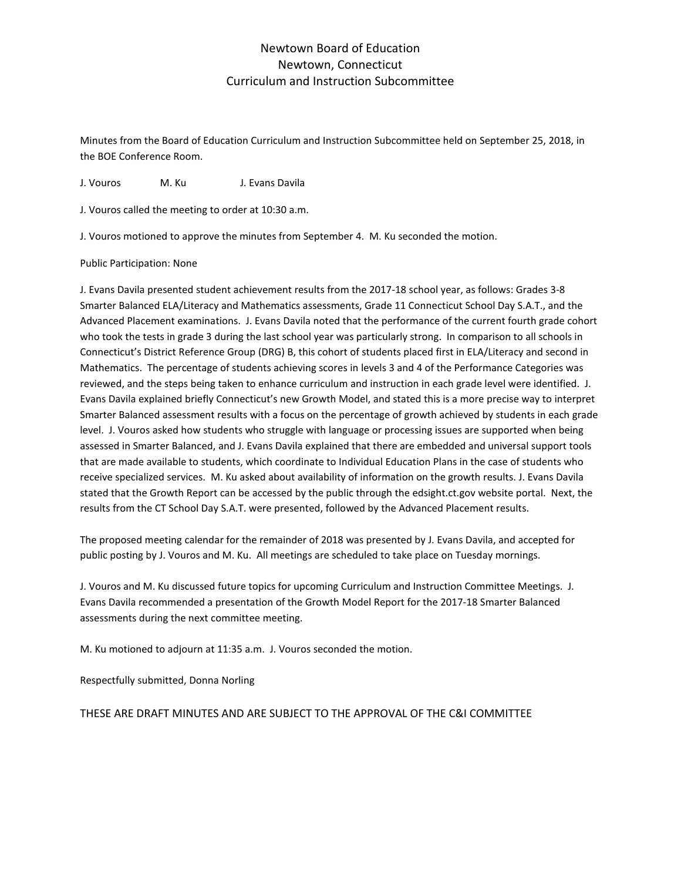## Newtown Board of Education Newtown, Connecticut Curriculum and Instruction Subcommittee

Minutes from the Board of Education Curriculum and Instruction Subcommittee held on September 25, 2018, in the BOE Conference Room.

J. Vouros M. Ku J. Evans Davila

J. Vouros called the meeting to order at 10:30 a.m.

J. Vouros motioned to approve the minutes from September 4. M. Ku seconded the motion.

## Public Participation: None

J. Evans Davila presented student achievement results from the 2017-18 school year, as follows: Grades 3-8 Smarter Balanced ELA/Literacy and Mathematics assessments, Grade 11 Connecticut School Day S.A.T., and the Advanced Placement examinations. J. Evans Davila noted that the performance of the current fourth grade cohort who took the tests in grade 3 during the last school year was particularly strong. In comparison to all schools in Connecticut's District Reference Group (DRG) B, this cohort of students placed first in ELA/Literacy and second in Mathematics. The percentage of students achieving scores in levels 3 and 4 of the Performance Categories was reviewed, and the steps being taken to enhance curriculum and instruction in each grade level were identified. J. Evans Davila explained briefly Connecticut's new Growth Model, and stated this is a more precise way to interpret Smarter Balanced assessment results with a focus on the percentage of growth achieved by students in each grade level. J. Vouros asked how students who struggle with language or processing issues are supported when being assessed in Smarter Balanced, and J. Evans Davila explained that there are embedded and universal support tools that are made available to students, which coordinate to Individual Education Plans in the case of students who receive specialized services. M. Ku asked about availability of information on the growth results. J. Evans Davila stated that the Growth Report can be accessed by the public through the edsight.ct.gov website portal. Next, the results from the CT School Day S.A.T. were presented, followed by the Advanced Placement results.

The proposed meeting calendar for the remainder of 2018 was presented by J. Evans Davila, and accepted for public posting by J. Vouros and M. Ku. All meetings are scheduled to take place on Tuesday mornings.

J. Vouros and M. Ku discussed future topics for upcoming Curriculum and Instruction Committee Meetings. J. Evans Davila recommended a presentation of the Growth Model Report for the 2017-18 Smarter Balanced assessments during the next committee meeting.

M. Ku motioned to adjourn at 11:35 a.m. J. Vouros seconded the motion.

Respectfully submitted, Donna Norling

THESE ARE DRAFT MINUTES AND ARE SUBJECT TO THE APPROVAL OF THE C&I COMMITTEE